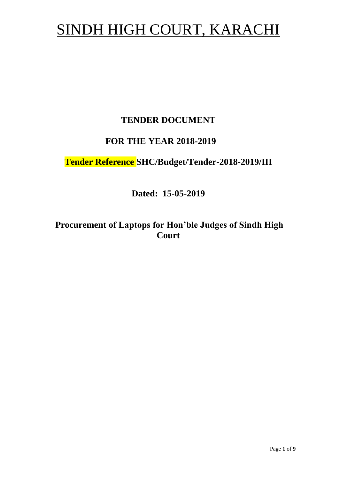# SINDH HIGH COURT, KARACHI

## **TENDER DOCUMENT**

## **FOR THE YEAR 2018-2019**

# **Tender Reference SHC/Budget/Tender-2018-2019/III**

**Dated: 15-05-2019**

**Procurement of Laptops for Hon'ble Judges of Sindh High Court**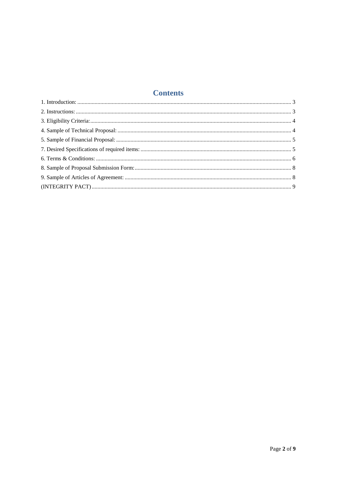## **Contents**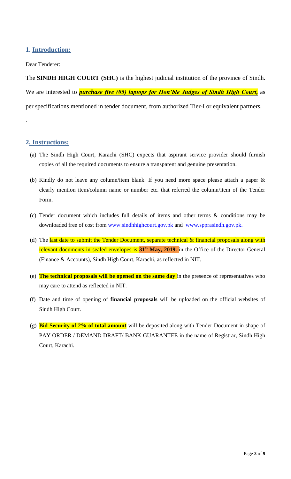## <span id="page-2-1"></span><span id="page-2-0"></span>**1. Introduction:**

#### Dear Tenderer:

The **SINDH HIGH COURT (SHC)** is the highest judicial institution of the province of [Sindh.](https://en.wikipedia.org/wiki/Sindh) We are interested to *purchase five (05) laptops for Hon'ble Judges of Sindh High Court,* as per specifications mentioned in tender document, from authorized Tier-I or equivalent partners.

#### **2. Instructions:**

.

- (a) The Sindh High Court, Karachi (SHC) expects that aspirant service provider should furnish copies of all the required documents to ensure a transparent and genuine presentation.
- (b) Kindly do not leave any column/item blank. If you need more space please attach a paper & clearly mention item/column name or number etc. that referred the column/item of the Tender Form.
- (c) Tender document which includes full details of items and other terms & conditions may be downloaded free of cost from [www.sindhhighcourt.gov.pk](http://www.sindhhighcourt.gov.pk/) and [www.spprasindh.gov.pk.](http://www.spprasindh.gov.pk/)
- (d) The last date to submit the Tender Document, separate technical  $\&$  financial proposals along with relevant documents in sealed envelopes is **31st May, 2019.** in the Office of the Director General (Finance & Accounts), Sindh High Court, Karachi, as reflected in NIT.
- (e) **The technical proposals will be opened on the same day** in the presence of representatives who may care to attend as reflected in NIT.
- (f) Date and time of opening of **financial proposals** will be uploaded on the official websites of Sindh High Court.
- (g) **Bid Security of 2% of total amount** will be deposited along with Tender Document in shape of PAY ORDER / DEMAND DRAFT/ BANK GUARANTEE in the name of Registrar, Sindh High Court, Karachi.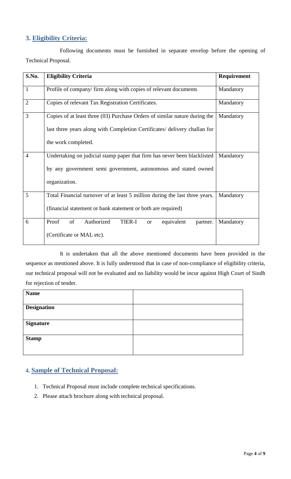## <span id="page-3-0"></span>**3. Eligibility Criteria:**

Following documents must be furnished in separate envelop before the opening of Technical Proposal.

| S.No.          | <b>Eligibility Criteria</b>                                                                                                                                                    | Requirement |
|----------------|--------------------------------------------------------------------------------------------------------------------------------------------------------------------------------|-------------|
| $\mathbf{1}$   | Profile of company/ firm along with copies of relevant documents                                                                                                               | Mandatory   |
| $\overline{2}$ | Copies of relevant Tax Registration Certificates.                                                                                                                              | Mandatory   |
| 3              | Copies of at least three (03) Purchase Orders of similar nature during the<br>last three years along with Completion Certificates/ delivery challan for<br>the work completed. | Mandatory   |
| $\overline{4}$ | Undertaking on judicial stamp paper that firm has never been blacklisted<br>by any government semi government, autonomous and stated owned<br>organization.                    | Mandatory   |
| 5              | Total Financial turnover of at least 5 million during the last three years.<br>(financial statement or bank statement or both are required)                                    | Mandatory   |
| 6              | Authorized<br>Proof<br>of<br><b>TIER-I</b><br>equivalent<br>partner.<br><b>or</b><br>(Certificate or MAL etc).                                                                 | Mandatory   |

It is undertaken that all the above mentioned documents have been provided in the sequence as mentioned above. It is fully understood that in case of non-compliance of eligibility criteria, our technical proposal will not be evaluated and no liability would be incur against High Court of Sindh for rejection of tender.

<span id="page-3-1"></span>

| <b>Name</b>        |  |
|--------------------|--|
|                    |  |
| <b>Designation</b> |  |
|                    |  |
| <b>Signature</b>   |  |
| <b>Stamp</b>       |  |
|                    |  |

#### **4. Sample of Technical Proposal:**

- 1. Technical Proposal must include complete technical specifications.
- 2. Please attach brochure along with technical proposal.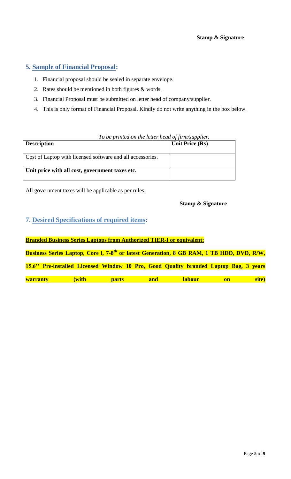## <span id="page-4-0"></span>**5. Sample of Financial Proposal:**

- 1. Financial proposal should be sealed in separate envelope.
- 2. Rates should be mentioned in both figures & words.
- 3. Financial Proposal must be submitted on letter head of company/supplier.
- 4. This is only format of Financial Proposal. Kindly do not write anything in the box below.

<span id="page-4-1"></span>

| To be printed on the letter head of firm/supplier. |  |
|----------------------------------------------------|--|
| Unit Price (Rs)                                    |  |
|                                                    |  |
|                                                    |  |
|                                                    |  |
|                                                    |  |
|                                                    |  |

All government taxes will be applicable as per rules.

#### **Stamp & Signature**

#### **7. Desired Specifications of required items:**

**Branded Business Series Laptops from Authorized TIER-I or equivalent:** Business Series Laptop, Core i, 7-8<sup>th</sup> or latest Generation, 8 GB RAM, 1 TB HDD, DVD, R/W, **15.6'' Pre-installed Licensed Window 10 Pro, Good Quality branded Laptop Bag, 3 years warranty (with parts and labour on site)**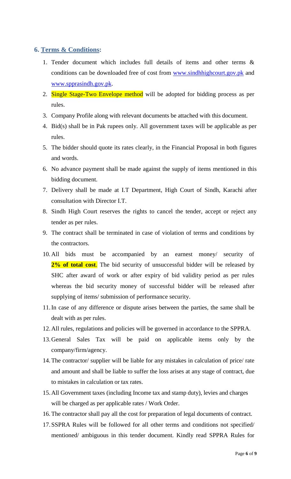#### <span id="page-5-0"></span>**6. Terms & Conditions:**

- 1. Tender document which includes full details of items and other terms & conditions can be downloaded free of cost from [www.sindhhighcourt.gov.pk](http://www.sindhhighcourt.gov.pk/) and [www.spprasindh.gov.pk.](http://www.spprasindh.gov.pk/)
- 2. Single Stage-Two Envelope method will be adopted for bidding process as per rules.
- 3. Company Profile along with relevant documents be attached with this document.
- 4. Bid(s) shall be in Pak rupees only. All government taxes will be applicable as per rules.
- 5. The bidder should quote its rates clearly, in the Financial Proposal in both figures and words.
- 6. No advance payment shall be made against the supply of items mentioned in this bidding document.
- 7. Delivery shall be made at I.T Department, High Court of Sindh, Karachi after consultation with Director I.T.
- 8. Sindh High Court reserves the rights to cancel the tender, accept or reject any tender as per rules.
- 9. The contract shall be terminated in case of violation of terms and conditions by the contractors.
- 10. All bids must be accompanied by an earnest money/ security of 2% of total cost. The bid security of unsuccessful bidder will be released by SHC after award of work or after expiry of bid validity period as per rules whereas the bid security money of successful bidder will be released after supplying of items/ submission of performance security.
- 11.In case of any difference or dispute arises between the parties, the same shall be dealt with as per rules.
- 12.All rules, regulations and policies will be governed in accordance to the SPPRA.
- 13.General Sales Tax will be paid on applicable items only by the company/firm/agency.
- 14. The contractor/ supplier will be liable for any mistakes in calculation of price/ rate and amount and shall be liable to suffer the loss arises at any stage of contract, due to mistakes in calculation or tax rates.
- 15.All Government taxes (including Income tax and stamp duty), levies and charges will be charged as per applicable rates / Work Order.
- 16. The contractor shall pay all the cost for preparation of legal documents of contract.
- 17.SSPRA Rules will be followed for all other terms and conditions not specified/ mentioned/ ambiguous in this tender document. Kindly read SPPRA Rules for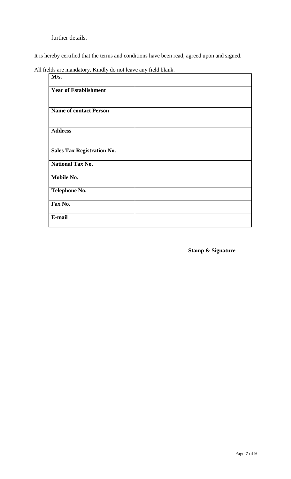further details.

It is hereby certified that the terms and conditions have been read, agreed upon and signed.

All fields are mandatory. Kindly do not leave any field blank.

| M/s.                              |  |
|-----------------------------------|--|
| <b>Year of Establishment</b>      |  |
|                                   |  |
| <b>Name of contact Person</b>     |  |
| <b>Address</b>                    |  |
| <b>Sales Tax Registration No.</b> |  |
| <b>National Tax No.</b>           |  |
| Mobile No.                        |  |
| <b>Telephone No.</b>              |  |
| Fax No.                           |  |
| E-mail                            |  |

**Stamp & Signature**

 $\mathbf{r}$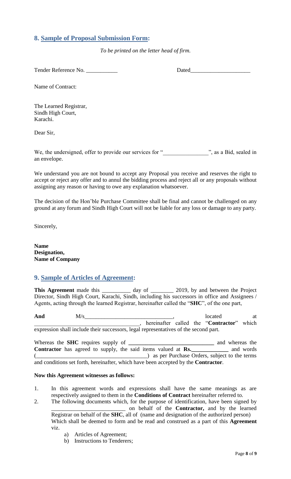## <span id="page-7-0"></span>**8. Sample of Proposal Submission Form:**

*To be printed on the letter head of firm.*

Tender Reference No. **Dated** 

Name of Contract:

The Learned Registrar, Sindh High Court, Karachi.

Dear Sir,

We, the undersigned, offer to provide our services for "<br>
", as a Bid, sealed in an envelope.

<span id="page-7-1"></span>We understand you are not bound to accept any Proposal you receive and reserves the right to accept or reject any offer and to annul the bidding process and reject all or any proposals without assigning any reason or having to owe any explanation whatsoever.

The decision of the Hon"ble Purchase Committee shall be final and cannot be challenged on any ground at any forum and Sindh High Court will not be liable for any loss or damage to any party.

Sincerely,

**Name Designation, Name of Company**

#### **9. Sample of Articles of Agreement:**

This Agreement made this \_\_\_\_\_\_\_\_\_\_ day of \_\_\_\_\_\_\_\_ 2019, by and between the Project Director, Sindh High Court, Karachi, Sindh, including his successors in office and Assignees / Agents, acting through the learned Registrar, hereinafter called the "**SHC**", of the one part,

And  $M/s$  at  $M/s$  at  $M/s$  at  $M/s$  at  $M$ \_\_\_\_\_\_\_\_\_\_\_\_\_\_\_\_\_\_\_\_\_\_\_\_\_\_\_\_\_\_\_\_\_\_\_\_\_, hereinafter called the "**Contractor**" which expression shall include their successors, legal representatives of the second part.

Whereas the **SHC** requires supply of **\_\_\_\_\_\_\_\_\_\_\_\_\_\_\_\_\_\_\_\_\_\_\_\_\_\_\_\_\_\_** and whereas the **Contractor** has agreed to supply, the said items valued at **Rs.\_\_\_\_\_\_\_\_\_\_\_\_\_** and words (exception of the terms) as per Purchase Orders, subject to the terms and conditions set forth, hereinafter, which have been accepted by the **Contractor**.

#### **Now this Agreement witnesses as follows:**

- 1. In this agreement words and expressions shall have the same meanings as are respectively assigned to them in the **Conditions of Contract** hereinafter referred to.
- 2. The following documents which, for the purpose of identification, have been signed by \_\_\_\_\_\_\_\_\_\_\_\_\_\_\_\_\_\_\_\_\_\_\_\_\_\_ on behalf of the **Contractor,** and by the learned Registrar on behalf of the **SHC**, all of (name and designation of the authorized person) Which shall be deemed to form and be read and construed as a part of this **Agreement**  viz.
	- a) Articles of Agreement;
	- b) Instructions to Tenderers;